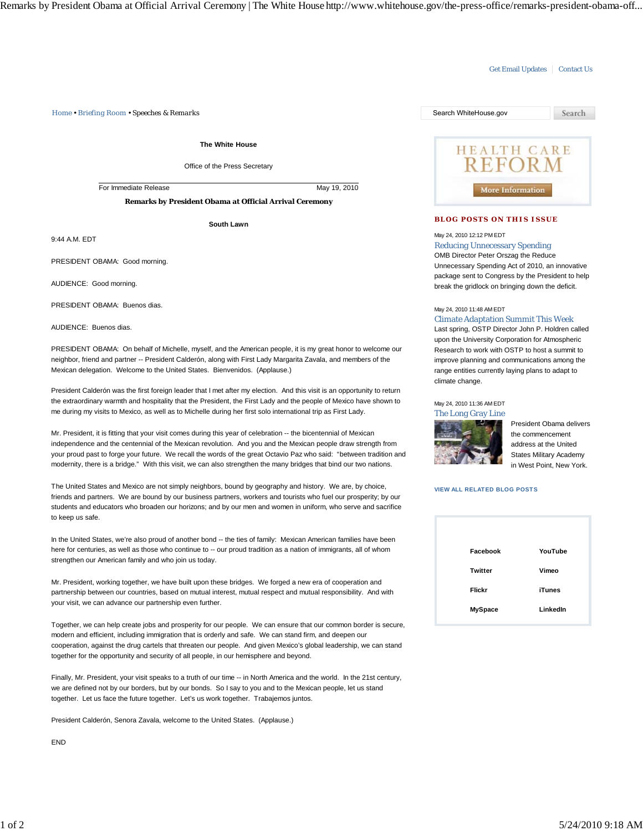*Home • Briefing Room • Speeches & Remarks* Search WhiteHouse.gov

**The White House**

Office of the Press Secretary

For Immediate Release May 19, 2010

**Remarks by President Obama at Official Arrival Ceremony**

**South Lawn**

9:44 A.M. EDT

PRESIDENT OBAMA: Good morning.

AUDIENCE: Good morning.

PRESIDENT OBAMA: Buenos dias.

AUDIENCE: Buenos dias.

PRESIDENT OBAMA: On behalf of Michelle, myself, and the American people, it is my great honor to welcome our neighbor, friend and partner -- President Calderón, along with First Lady Margarita Zavala, and members of the Mexican delegation. Welcome to the United States. Bienvenidos. (Applause.)

President Calderón was the first foreign leader that I met after my election. And this visit is an opportunity to return the extraordinary warmth and hospitality that the President, the First Lady and the people of Mexico have shown to me during my visits to Mexico, as well as to Michelle during her first solo international trip as First Lady.

Mr. President, it is fitting that your visit comes during this year of celebration -- the bicentennial of Mexican independence and the centennial of the Mexican revolution. And you and the Mexican people draw strength from your proud past to forge your future. We recall the words of the great Octavio Paz who said: "between tradition and modernity, there is a bridge." With this visit, we can also strengthen the many bridges that bind our two nations.

The United States and Mexico are not simply neighbors, bound by geography and history. We are, by choice, friends and partners. We are bound by our business partners, workers and tourists who fuel our prosperity; by our students and educators who broaden our horizons; and by our men and women in uniform, who serve and sacrifice to keep us safe.

In the United States, we're also proud of another bond -- the ties of family: Mexican American families have been here for centuries, as well as those who continue to -- our proud tradition as a nation of immigrants, all of whom strengthen our American family and who join us today.

Mr. President, working together, we have built upon these bridges. We forged a new era of cooperation and partnership between our countries, based on mutual interest, mutual respect and mutual responsibility. And with your visit, we can advance our partnership even further.

Together, we can help create jobs and prosperity for our people. We can ensure that our common border is secure, modern and efficient, including immigration that is orderly and safe. We can stand firm, and deepen our cooperation, against the drug cartels that threaten our people. And given Mexico's global leadership, we can stand together for the opportunity and security of all people, in our hemisphere and beyond.

Finally, Mr. President, your visit speaks to a truth of our time -- in North America and the world. In the 21st century, we are defined not by our borders, but by our bonds. So I say to you and to the Mexican people, let us stand together. Let us face the future together. Let's us work together. Trabajemos juntos.

President Calderón, Senora Zavala, welcome to the United States. (Applause.)

END



Get Email Updates | Contact Us

### **BLOG POSTS ON THIS ISSUE**

## May 24, 2010 12:12 PM EDT

Reducing Unnecessary Spending OMB Director Peter Orszag the Reduce Unnecessary Spending Act of 2010, an innovative package sent to Congress by the President to help

May 24, 2010 11:48 AM EDT

### Climate Adaptation Summit This Week

break the gridlock on bringing down the deficit.

Last spring, OSTP Director John P. Holdren called upon the University Corporation for Atmospheric Research to work with OSTP to host a summit to improve planning and communications among the range entities currently laying plans to adapt to climate change.

## May 24, 2010 11:36 AM EDT



President Obama delivers the commencement address at the United States Military Academy in West Point, New York.

### **VIEW ALL RELATED BLOG POSTS**

| Facebook       | YouTube  |
|----------------|----------|
| <b>Twitter</b> | Vimeo    |
| Flickr         | iTunes   |
| <b>MySpace</b> | LinkedIn |